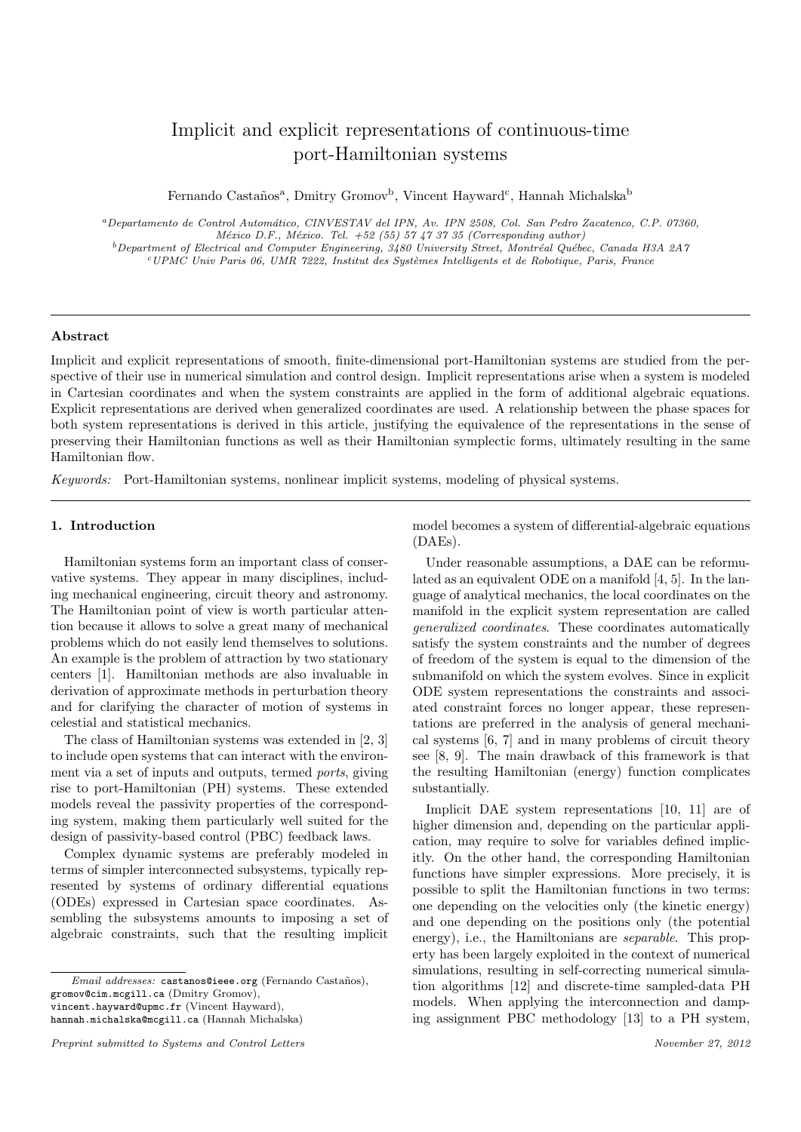# Implicit and explicit representations of continuous-time port-Hamiltonian systems

Fernando Castaños<sup>a</sup>, Dmitry Gromov<sup>b</sup>, Vincent Hayward<sup>c</sup>, Hannah Michalska<sup>b</sup>

<sup>a</sup>Departamento de Control Autom´atico, CINVESTAV del IPN, Av. IPN 2508, Col. San Pedro Zacatenco, C.P. 07360, México D.F., México. Tel.  $+52$  (55) 57 47 37 35 (Corresponding author)  $b$ Department of Electrical and Computer Engineering, 3480 University Street, Montréal Québec, Canada H3A 2A7  $c'UPMC$  Univ Paris 06, UMR 7222, Institut des Systèmes Intelligents et de Robotique, Paris, France

## Abstract

Implicit and explicit representations of smooth, finite-dimensional port-Hamiltonian systems are studied from the perspective of their use in numerical simulation and control design. Implicit representations arise when a system is modeled in Cartesian coordinates and when the system constraints are applied in the form of additional algebraic equations. Explicit representations are derived when generalized coordinates are used. A relationship between the phase spaces for both system representations is derived in this article, justifying the equivalence of the representations in the sense of preserving their Hamiltonian functions as well as their Hamiltonian symplectic forms, ultimately resulting in the same Hamiltonian flow.

Keywords: Port-Hamiltonian systems, nonlinear implicit systems, modeling of physical systems.

# 1. Introduction

Hamiltonian systems form an important class of conservative systems. They appear in many disciplines, including mechanical engineering, circuit theory and astronomy. The Hamiltonian point of view is worth particular attention because it allows to solve a great many of mechanical problems which do not easily lend themselves to solutions. An example is the problem of attraction by two stationary centers [1]. Hamiltonian methods are also invaluable in derivation of approximate methods in perturbation theory and for clarifying the character of motion of systems in celestial and statistical mechanics.

The class of Hamiltonian systems was extended in [2, 3] to include open systems that can interact with the environment via a set of inputs and outputs, termed ports, giving rise to port-Hamiltonian (PH) systems. These extended models reveal the passivity properties of the corresponding system, making them particularly well suited for the design of passivity-based control (PBC) feedback laws.

Complex dynamic systems are preferably modeled in terms of simpler interconnected subsystems, typically represented by systems of ordinary differential equations (ODEs) expressed in Cartesian space coordinates. Assembling the subsystems amounts to imposing a set of algebraic constraints, such that the resulting implicit

vincent.hayward@upmc.fr (Vincent Hayward),

hannah.michalska@mcgill.ca (Hannah Michalska)

model becomes a system of differential-algebraic equations (DAEs).

Under reasonable assumptions, a DAE can be reformulated as an equivalent ODE on a manifold [4, 5]. In the language of analytical mechanics, the local coordinates on the manifold in the explicit system representation are called generalized coordinates. These coordinates automatically satisfy the system constraints and the number of degrees of freedom of the system is equal to the dimension of the submanifold on which the system evolves. Since in explicit ODE system representations the constraints and associated constraint forces no longer appear, these representations are preferred in the analysis of general mechanical systems [6, 7] and in many problems of circuit theory see [8, 9]. The main drawback of this framework is that the resulting Hamiltonian (energy) function complicates substantially.

Implicit DAE system representations [10, 11] are of higher dimension and, depending on the particular application, may require to solve for variables defined implicitly. On the other hand, the corresponding Hamiltonian functions have simpler expressions. More precisely, it is possible to split the Hamiltonian functions in two terms: one depending on the velocities only (the kinetic energy) and one depending on the positions only (the potential energy), i.e., the Hamiltonians are *separable*. This property has been largely exploited in the context of numerical simulations, resulting in self-correcting numerical simulation algorithms [12] and discrete-time sampled-data PH models. When applying the interconnection and damping assignment PBC methodology [13] to a PH system,

Email addresses: castanos@ieee.org (Fernando Castaños), gromov@cim.mcgill.ca (Dmitry Gromov),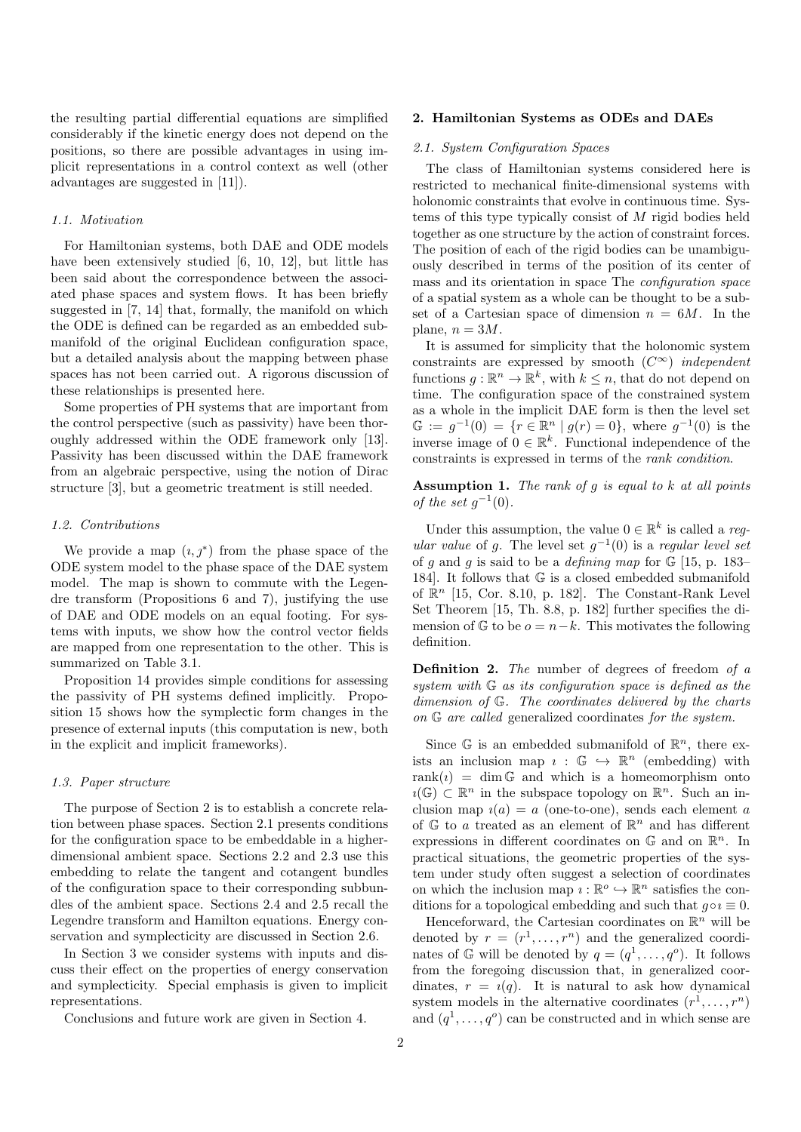the resulting partial differential equations are simplified considerably if the kinetic energy does not depend on the positions, so there are possible advantages in using implicit representations in a control context as well (other advantages are suggested in [11]).

#### 1.1. Motivation

For Hamiltonian systems, both DAE and ODE models have been extensively studied [6, 10, 12], but little has been said about the correspondence between the associated phase spaces and system flows. It has been briefly suggested in [7, 14] that, formally, the manifold on which the ODE is defined can be regarded as an embedded submanifold of the original Euclidean configuration space, but a detailed analysis about the mapping between phase spaces has not been carried out. A rigorous discussion of these relationships is presented here.

Some properties of PH systems that are important from the control perspective (such as passivity) have been thoroughly addressed within the ODE framework only [13]. Passivity has been discussed within the DAE framework from an algebraic perspective, using the notion of Dirac structure [3], but a geometric treatment is still needed.

#### 1.2. Contributions

We provide a map  $(i, j^*)$  from the phase space of the ODE system model to the phase space of the DAE system model. The map is shown to commute with the Legendre transform (Propositions 6 and 7), justifying the use of DAE and ODE models on an equal footing. For systems with inputs, we show how the control vector fields are mapped from one representation to the other. This is summarized on Table 3.1.

Proposition 14 provides simple conditions for assessing the passivity of PH systems defined implicitly. Proposition 15 shows how the symplectic form changes in the presence of external inputs (this computation is new, both in the explicit and implicit frameworks).

## 1.3. Paper structure

The purpose of Section 2 is to establish a concrete relation between phase spaces. Section 2.1 presents conditions for the configuration space to be embeddable in a higherdimensional ambient space. Sections 2.2 and 2.3 use this embedding to relate the tangent and cotangent bundles of the configuration space to their corresponding subbundles of the ambient space. Sections 2.4 and 2.5 recall the Legendre transform and Hamilton equations. Energy conservation and symplecticity are discussed in Section 2.6.

In Section 3 we consider systems with inputs and discuss their effect on the properties of energy conservation and symplecticity. Special emphasis is given to implicit representations.

Conclusions and future work are given in Section 4.

#### 2. Hamiltonian Systems as ODEs and DAEs

## 2.1. System Configuration Spaces

The class of Hamiltonian systems considered here is restricted to mechanical finite-dimensional systems with holonomic constraints that evolve in continuous time. Systems of this type typically consist of M rigid bodies held together as one structure by the action of constraint forces. The position of each of the rigid bodies can be unambiguously described in terms of the position of its center of mass and its orientation in space The configuration space of a spatial system as a whole can be thought to be a subset of a Cartesian space of dimension  $n = 6M$ . In the plane,  $n = 3M$ .

It is assumed for simplicity that the holonomic system constraints are expressed by smooth  $(C^{\infty})$  independent functions  $g: \mathbb{R}^n \to \mathbb{R}^k$ , with  $k \leq n$ , that do not depend on time. The configuration space of the constrained system as a whole in the implicit DAE form is then the level set  $\mathbb{G} := g^{-1}(0) = \{r \in \mathbb{R}^n \mid g(r) = 0\},\$  where  $g^{-1}(0)$  is the inverse image of  $0 \in \mathbb{R}^k$ . Functional independence of the constraints is expressed in terms of the rank condition.

# Assumption 1. The rank of g is equal to k at all points of the set  $g^{-1}(0)$ .

Under this assumption, the value  $0 \in \mathbb{R}^k$  is called a *reg*ular value of g. The level set  $g^{-1}(0)$  is a regular level set of q and q is said to be a *defining map* for  $\mathbb{G}$  [15, p. 183– 184]. It follows that G is a closed embedded submanifold of  $\mathbb{R}^n$  [15, Cor. 8.10, p. 182]. The Constant-Rank Level Set Theorem [15, Th. 8.8, p. 182] further specifies the dimension of  $\mathbb{G}$  to be  $o = n-k$ . This motivates the following definition.

Definition 2. The number of degrees of freedom of a system with  $G$  as its configuration space is defined as the dimension of G. The coordinates delivered by the charts on G are called generalized coordinates for the system.

Since  $\mathbb G$  is an embedded submanifold of  $\mathbb R^n$ , there exists an inclusion map  $i : \mathbb{G} \hookrightarrow \mathbb{R}^n$  (embedding) with rank(*i*) = dim  $\mathbb{G}$  and which is a homeomorphism onto  $\imath(\mathbb{G}) \subset \mathbb{R}^n$  in the subspace topology on  $\mathbb{R}^n$ . Such an inclusion map  $i(a) = a$  (one-to-one), sends each element a of  $\mathbb{G}$  to a treated as an element of  $\mathbb{R}^n$  and has different expressions in different coordinates on  $\mathbb{G}$  and on  $\mathbb{R}^n$ . In practical situations, the geometric properties of the system under study often suggest a selection of coordinates on which the inclusion map  $i : \mathbb{R}^o \hookrightarrow \mathbb{R}^n$  satisfies the conditions for a topological embedding and such that  $q \circ i \equiv 0$ .

Henceforward, the Cartesian coordinates on  $\mathbb{R}^n$  will be denoted by  $r = (r^1, \ldots, r^n)$  and the generalized coordinates of G will be denoted by  $q = (q^1, \ldots, q^o)$ . It follows from the foregoing discussion that, in generalized coordinates,  $r = i(q)$ . It is natural to ask how dynamical system models in the alternative coordinates  $(r^1, \ldots, r^n)$ and  $(q^1, \ldots, q^o)$  can be constructed and in which sense are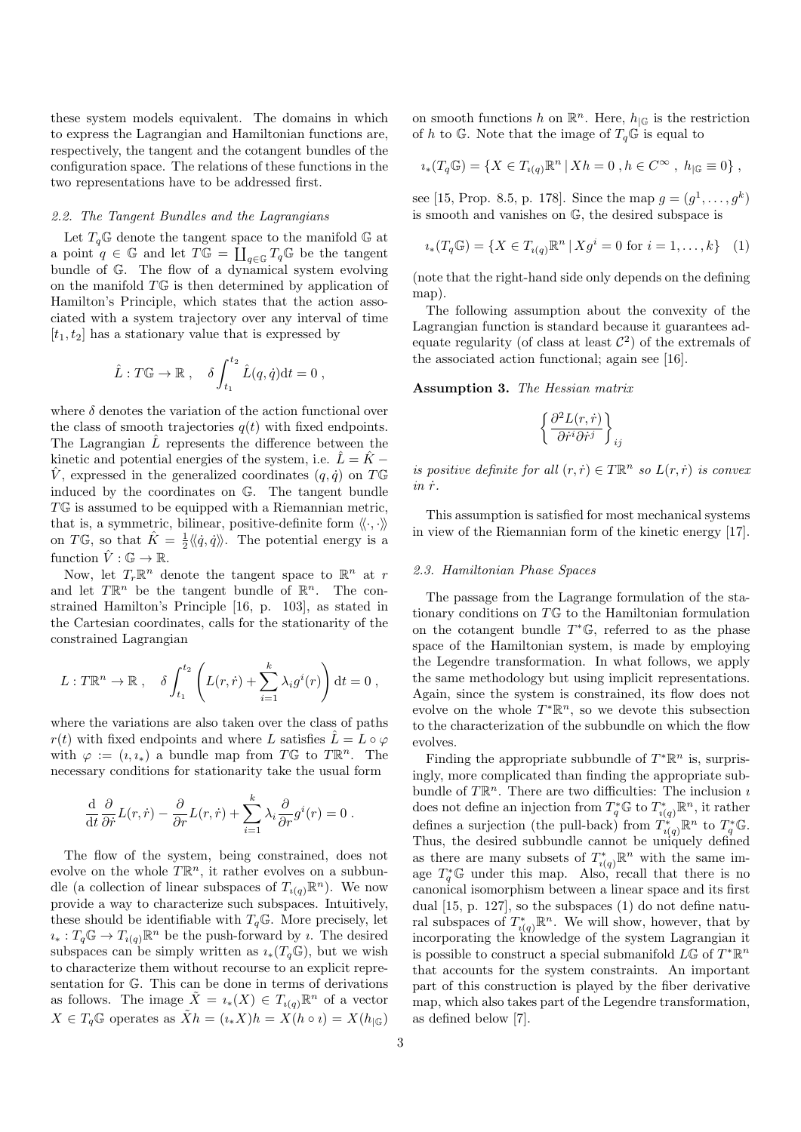these system models equivalent. The domains in which to express the Lagrangian and Hamiltonian functions are, respectively, the tangent and the cotangent bundles of the configuration space. The relations of these functions in the two representations have to be addressed first.

## 2.2. The Tangent Bundles and the Lagrangians

Let  $T_q\times$  denote the tangent space to the manifold  ${\mathbb G}$  at a point  $q \in \mathbb{G}$  and let  $T\mathbb{G} = \coprod_{q \in \mathbb{G}} T_q\mathbb{G}$  be the tangent bundle of G. The flow of a dynamical system evolving on the manifold  $T\mathbb{G}$  is then determined by application of Hamilton's Principle, which states that the action associated with a system trajectory over any interval of time  $[t_1, t_2]$  has a stationary value that is expressed by

$$
\hat{L}: T\mathbb{G} \to \mathbb{R} \ , \quad \delta \int_{t_1}^{t_2} \hat{L}(q, \dot{q}) dt = 0 \ ,
$$

where  $\delta$  denotes the variation of the action functional over the class of smooth trajectories  $q(t)$  with fixed endpoints. The Lagrangian  $\hat{L}$  represents the difference between the kinetic and potential energies of the system, i.e.  $\hat{L} = \hat{K} -$ V, expressed in the generalized coordinates  $(q, \dot{q})$  on TG induced by the coordinates on G. The tangent bundle  $T\mathbb{G}$  is assumed to be equipped with a Riemannian metric, that is, a symmetric, bilinear, positive-definite form  $\langle \langle \cdot, \cdot \rangle \rangle$ on TG, so that  $\hat{K} = \frac{1}{2} \langle \langle \hat{q}, \hat{q} \rangle \rangle$ . The potential energy is a function  $\hat{V}: \mathbb{G} \to \mathbb{R}$ .

Now, let  $T_r\mathbb{R}^n$  denote the tangent space to  $\mathbb{R}^n$  at r and let  $T\mathbb{R}^n$  be the tangent bundle of  $\mathbb{R}^n$ . The constrained Hamilton's Principle [16, p. 103], as stated in the Cartesian coordinates, calls for the stationarity of the constrained Lagrangian

$$
L: T\mathbb{R}^n \to \mathbb{R} \ , \quad \delta \int_{t_1}^{t_2} \left( L(r, \dot{r}) + \sum_{i=1}^k \lambda_i g^i(r) \right) dt = 0 \ ,
$$

where the variations are also taken over the class of paths  $r(t)$  with fixed endpoints and where L satisfies  $\tilde{L} = L \circ \varphi$ with  $\varphi := (i, i_*)$  a bundle map from TG to TR<sup>n</sup>. The necessary conditions for stationarity take the usual form

$$
\frac{\mathrm{d}}{\mathrm{d}t}\frac{\partial}{\partial \dot{r}}L(r,\dot{r})-\frac{\partial}{\partial r}L(r,\dot{r})+\sum_{i=1}^k\lambda_i\frac{\partial}{\partial r}g^i(r)=0.
$$

The flow of the system, being constrained, does not evolve on the whole  $T\mathbb{R}^n$ , it rather evolves on a subbundle (a collection of linear subspaces of  $T_{i(q)}\mathbb{R}^n$ ). We now provide a way to characterize such subspaces. Intuitively, these should be identifiable with  $T_q \mathbb{G}$ . More precisely, let  $i_*: T_q \mathbb{G} \to T_{i(q)} \mathbb{R}^n$  be the push-forward by *i*. The desired subspaces can be simply written as  $\iota_*(T_q\mathbb{G})$ , but we wish to characterize them without recourse to an explicit representation for G. This can be done in terms of derivations as follows. The image  $\tilde{X} = i_*(X) \in T_{i(q)} \mathbb{R}^n$  of a vector  $X \in T_q \mathbb{G}$  operates as  $\tilde{X}h = (\iota_* X)h = X(h \circ \iota) = X(h_{|\mathbb{G}})$ 

on smooth functions h on  $\mathbb{R}^n$ . Here,  $h_{\vert\mathbb{G}}$  is the restriction of h to G. Note that the image of  $T_q$ G is equal to

$$
i_*(T_q \mathbb{G}) = \{ X \in T_{i(q)} \mathbb{R}^n \, | \, Xh = 0 \, , h \in C^{\infty} \, , \, h_{|\mathbb{G}} \equiv 0 \} \, ,
$$

see [15, Prop. 8.5, p. 178]. Since the map  $g = (g^1, \ldots, g^k)$ is smooth and vanishes on G, the desired subspace is

$$
i_*(T_q \mathbb{G}) = \{ X \in T_{i(q)} \mathbb{R}^n \, | \, Xg^i = 0 \text{ for } i = 1, \dots, k \} \quad (1)
$$

(note that the right-hand side only depends on the defining map).

The following assumption about the convexity of the Lagrangian function is standard because it guarantees adequate regularity (of class at least  $\mathcal{C}^2$ ) of the extremals of the associated action functional; again see [16].

Assumption 3. The Hessian matrix

$$
\left\{\frac{\partial^2 L(r,\dot{r})}{\partial \dot{r}^i \partial \dot{r}^j}\right\}_{ij}
$$

is positive definite for all  $(r, \dot{r}) \in T\mathbb{R}^n$  so  $L(r, \dot{r})$  is convex  $in \; \dot{r}$ .

This assumption is satisfied for most mechanical systems in view of the Riemannian form of the kinetic energy [17].

## 2.3. Hamiltonian Phase Spaces

The passage from the Lagrange formulation of the stationary conditions on TG to the Hamiltonian formulation on the cotangent bundle  $T^{\ast} \mathbb{G}$ , referred to as the phase space of the Hamiltonian system, is made by employing the Legendre transformation. In what follows, we apply the same methodology but using implicit representations. Again, since the system is constrained, its flow does not evolve on the whole  $T^*\mathbb{R}^n$ , so we devote this subsection to the characterization of the subbundle on which the flow evolves.

Finding the appropriate subbundle of  $T^*\mathbb{R}^n$  is, surprisingly, more complicated than finding the appropriate subbundle of  $T\mathbb{R}^n$ . There are two difficulties: The inclusion  $\imath$ does not define an injection from  $T_q^* \mathbb{G}$  to  $T_{i(q)}^* \mathbb{R}^n$ , it rather defines a surjection (the pull-back) from  $T_{i(q)}^* \mathbb{R}^n$  to  $T_q^* \mathbb{G}$ . Thus, the desired subbundle cannot be uniquely defined as there are many subsets of  $T_{i(q)}^* \mathbb{R}^n$  with the same image  $T_q^* \mathbb{G}$  under this map. Also, recall that there is no canonical isomorphism between a linear space and its first dual [15, p. 127], so the subspaces (1) do not define natural subspaces of  $T_{i(q)}^* \mathbb{R}^n$ . We will show, however, that by incorporating the knowledge of the system Lagrangian it is possible to construct a special submanifold  $L\mathbb{G}$  of  $T^*\mathbb{R}^n$ that accounts for the system constraints. An important part of this construction is played by the fiber derivative map, which also takes part of the Legendre transformation, as defined below [7].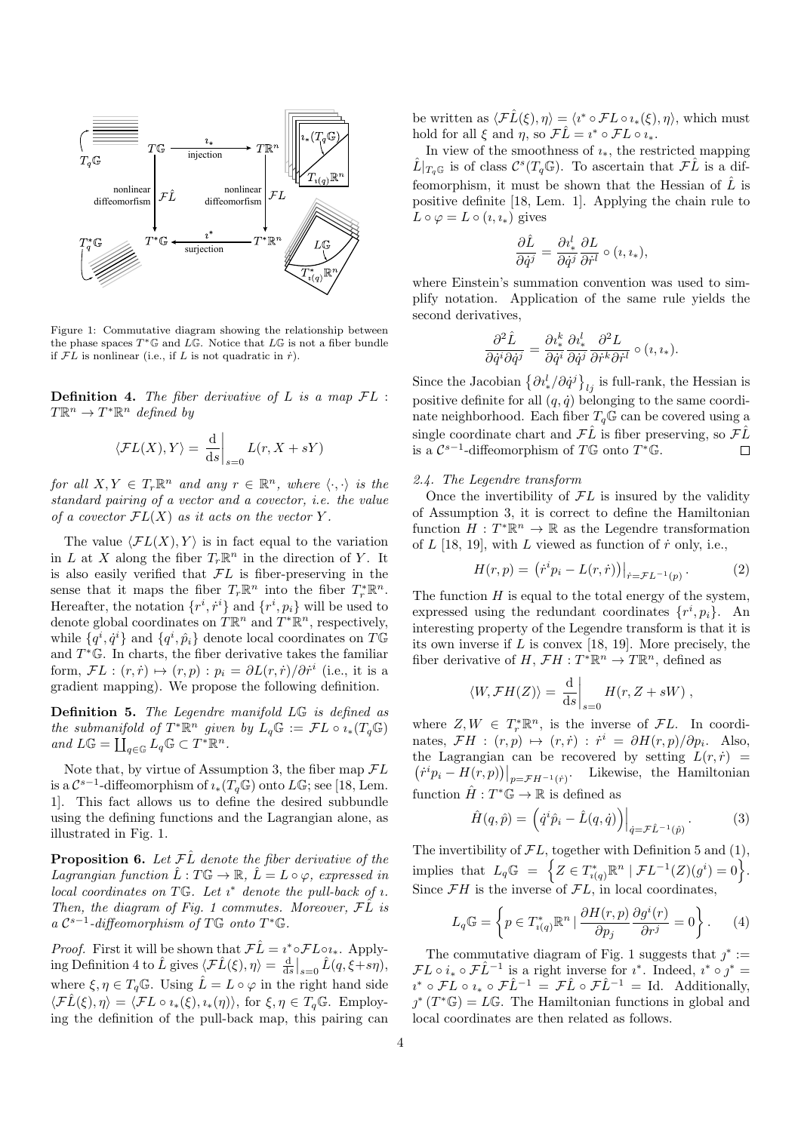

Figure 1: Commutative diagram showing the relationship between the phase spaces  $T^* \mathbb{G}$  and  $\overline{L} \mathbb{G}$ . Notice that  $\overline{L} \mathbb{G}$  is not a fiber bundle if  $FL$  is nonlinear (i.e., if L is not quadratic in  $\dot{r}$ ).

**Definition 4.** The fiber derivative of  $L$  is a map  $FL$ :  $T\mathbb{R}^n \to T^*\mathbb{R}^n$  defined by

$$
\langle \mathcal{F}L(X), Y \rangle = \left. \frac{\mathrm{d}}{\mathrm{d}s} \right|_{s=0} L(r, X + sY)
$$

for all  $X, Y \in T_r \mathbb{R}^n$  and any  $r \in \mathbb{R}^n$ , where  $\langle \cdot, \cdot \rangle$  is the standard pairing of a vector and a covector, i.e. the value of a covector  $FL(X)$  as it acts on the vector Y.

The value  $\langle \mathcal{F}L(X), Y \rangle$  is in fact equal to the variation in L at X along the fiber  $T_r \mathbb{R}^n$  in the direction of Y. It is also easily verified that  $FL$  is fiber-preserving in the sense that it maps the fiber  $T_r \mathbb{R}^n$  into the fiber  $T_r^* \mathbb{R}^n$ . Hereafter, the notation  $\{r^i, \dot{r}^i\}$  and  $\{r^i, p_i\}$  will be used to denote global coordinates on  $\hat{T}\mathbb{R}^n$  and  $T^*\mathbb{R}^n$ , respectively, while  $\{q^i, \dot{q}^i\}$  and  $\{q^i, \hat{p}_i\}$  denote local coordinates on  $T\mathbb{G}$ and  $T^{\ast} \mathbb{G}$ . In charts, the fiber derivative takes the familiar form,  $\mathcal{F}L : (r, \dot{r}) \mapsto (r, p) : p_i = \partial L(r, \dot{r})/\partial \dot{r}^i$  (i.e., it is a gradient mapping). We propose the following definition.

Definition 5. The Legendre manifold LG is defined as the submanifold of  $T^*\mathbb{R}^n$  given by  $L_q\mathbb{G} := \mathcal{F} L \circ i_*(T_q\mathbb{G})$ and  $L\mathbb{G} = \coprod_{q \in \mathbb{G}} L_q \mathbb{G} \subset T^* \mathbb{R}^n$ .

Note that, by virtue of Assumption 3, the fiber map  $\mathcal{F}L$ is a  $\mathcal{C}^{s-1}$ -diffeomorphism of  $\iota_*(T_q \mathbb{G})$  onto  $L\mathbb{G}$ ; see [18, Lem. 1]. This fact allows us to define the desired subbundle using the defining functions and the Lagrangian alone, as illustrated in Fig. 1.

**Proposition 6.** Let  $\mathcal{F}\hat{L}$  denote the fiber derivative of the Lagrangian function  $\hat{L}: T\mathbb{G} \to \mathbb{R}, \ \hat{L} = L \circ \varphi$ , expressed in local coordinates on  $T\mathbb{G}$ . Let  $\imath^*$  denote the pull-back of  $\imath$ . Then, the diagram of Fig. 1 commutes. Moreover,  $\mathcal{F}\hat{L}$  is  $a C^{s-1}$ -diffeomorphism of TG onto T\*G.

*Proof.* First it will be shown that  $\mathcal{F}\hat{L} = i^* \circ \mathcal{F} L \circ i_*$ . Applying Definition 4 to  $\hat{L}$  gives  $\langle \mathcal{F}\hat{L}(\xi), \eta \rangle = \frac{d}{ds}\big|_{s=0} \hat{L}(q, \xi + s\eta),$ where  $\xi, \eta \in T_q \mathbb{G}$ . Using  $\hat{L} = L \circ \varphi$  in the right hand side  $\langle \mathcal{F}\tilde{L}(\xi), \eta \rangle = \langle \mathcal{F}L \circ \iota_*(\xi), \iota_*(\eta) \rangle$ , for  $\xi, \eta \in T_q\mathbb{G}$ . Employing the definition of the pull-back map, this pairing can

be written as  $\langle \mathcal{F}\hat{L}(\xi), \eta \rangle = \langle i^* \circ \mathcal{F}L \circ i_*(\xi), \eta \rangle$ , which must hold for all  $\xi$  and  $\eta$ , so  $\mathcal{F}\hat{L} = i^* \circ \mathcal{F}L \circ i_*$ .

In view of the smoothness of  $i_*$ , the restricted mapping  $\hat{L}|_{T_q\mathbb{G}}$  is of class  $\mathcal{C}^s(T_q\mathbb{G})$ . To ascertain that  $\mathcal{F}\hat{L}$  is a diffeomorphism, it must be shown that the Hessian of  $\hat{L}$  is positive definite [18, Lem. 1]. Applying the chain rule to  $L \circ \varphi = L \circ (i, i_*)$  gives

$$
\frac{\partial \hat{L}}{\partial \dot{q}^j} = \frac{\partial \imath^l_*}{\partial \dot{q}^j} \frac{\partial L}{\partial \dot{r}^l} \circ (\imath, \imath_*),
$$

where Einstein's summation convention was used to simplify notation. Application of the same rule yields the second derivatives,

$$
\frac{\partial^2 \hat{L}}{\partial \dot{q}^i \partial \dot{q}^j} = \frac{\partial \imath^k_*}{\partial \dot{q}^i} \frac{\partial \imath^l_*}{\partial \dot{q}^j} \frac{\partial^2 L}{\partial \dot{r}^k \partial \dot{r}^l} \circ (\imath, \imath_*).
$$

Since the Jacobian  $\left\{\partial l^l_*/\partial \dot{q}^j\right\}_{lj}$  is full-rank, the Hessian is positive definite for all  $(q, \dot{q})$  belonging to the same coordinate neighborhood. Each fiber  $T_q \mathbb{G}$  can be covered using a single coordinate chart and  $\mathcal{F}\hat{L}$  is fiber preserving, so  $\mathcal{F}\hat{L}$ is a  $\mathcal{C}^{s-1}$ -diffeomorphism of T $\mathbb{G}$  onto  $T^{\ast} \mathbb{G}$ .  $\Box$ 

## 2.4. The Legendre transform

Once the invertibility of  $FL$  is insured by the validity of Assumption 3, it is correct to define the Hamiltonian function  $H: T^*\mathbb{R}^n \to \mathbb{R}$  as the Legendre transformation of  $L$  [18, 19], with  $L$  viewed as function of  $\dot{r}$  only, i.e.,

$$
H(r,p) = (\dot{r}^i p_i - L(r,\dot{r}))|_{\dot{r} = \mathcal{F}L^{-1}(p)}.
$$
 (2)

The function  $H$  is equal to the total energy of the system, expressed using the redundant coordinates  $\{r^i, p_i\}$ . An interesting property of the Legendre transform is that it is its own inverse if  $L$  is convex [18, 19]. More precisely, the fiber derivative of  $H, \mathcal{F}H : T^*\mathbb{R}^n \to T\mathbb{R}^n$ , defined as

$$
\langle W, \mathcal{F}H(Z) \rangle = \left. \frac{\mathrm{d}}{\mathrm{d}s} \right|_{s=0} H(r, Z + sW) ,
$$

where  $Z, W \in T_r^* \mathbb{R}^n$ , is the inverse of  $\mathcal{F}L$ . In coordinates,  $\mathcal{F}H : (r,p) \mapsto (r,\dot{r}) : \dot{r}^i = \partial H(r,p)/\partial p_i$ . Also, the Lagrangian can be recovered by setting  $L(r, r)$  =  $(\dot{r}^i p_i - H(r,p))\big|_{p=\mathcal{F}H^{-1}(\dot{r})}$ . Likewise, the Hamiltonian function  $\hat{H}: T^*\mathbb{G} \to \mathbb{R}$  is defined as

$$
\hat{H}(q,\hat{p}) = \left(\dot{q}^i \hat{p}_i - \hat{L}(q,\dot{q})\right)\Big|_{\dot{q} = \mathcal{F}\hat{L}^{-1}(\hat{p})}.
$$
\n(3)

The invertibility of  $FL$ , together with Definition 5 and (1), implies that  $L_q \mathbb{G} = \left\{ Z \in T_{i(q)}^* \mathbb{R}^n \mid \mathcal{F} L^{-1}(Z)(g^i) = 0 \right\}.$ Since  $\mathcal{F}H$  is the inverse of  $\mathcal{F}L$ , in local coordinates,

$$
L_q \mathbb{G} = \left\{ p \in T_{i(q)}^* \mathbb{R}^n \mid \frac{\partial H(r, p)}{\partial p_j} \frac{\partial g^i(r)}{\partial r^j} = 0 \right\}.
$$
 (4)

The commutative diagram of Fig. 1 suggests that  $j^* :=$  $\mathcal{F}L \circ i_* \circ \mathcal{F}\hat{L}^{-1}$  is a right inverse for  $i^*$ . Indeed,  $i^* \circ j^* =$  $i^* \circ \mathcal{F} L \circ i_* \circ \mathcal{F} \hat{L}^{-1} = \mathcal{F} \hat{L} \circ \mathcal{F} \hat{L}^{-1} = \text{Id.}$  Additionally,  $j^*(T^*\mathbb{G})=L\mathbb{G}$ . The Hamiltonian functions in global and local coordinates are then related as follows.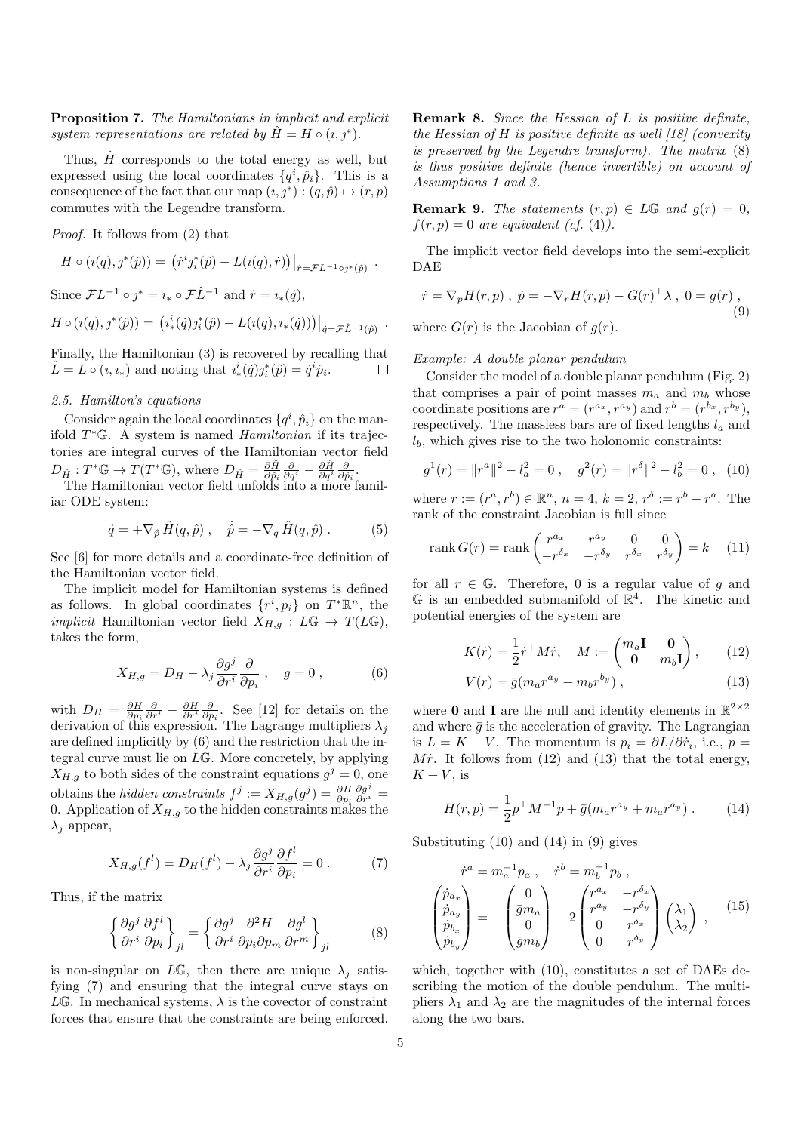Proposition 7. The Hamiltonians in implicit and explicit system representations are related by  $\hat{H} = H \circ (i, j^*).$ 

Thus,  $\hat{H}$  corresponds to the total energy as well, but expressed using the local coordinates  $\{q^i, \hat{p}_i\}$ . This is a consequence of the fact that our map  $(i, j^*): (q, \hat{p}) \mapsto (r, p)$ commutes with the Legendre transform.

Proof. It follows from (2) that

$$
H \circ (i(q), j^*(\hat{p})) = (i^i j_i^*(\hat{p}) - L(i(q), \dot{r}))|_{\dot{r} = \mathcal{F}L^{-1} \circ j^*(\hat{p})} .
$$

Since  $\mathcal{F}L^{-1} \circ \jmath^* = i_* \circ \mathcal{F}\hat{L}^{-1}$  and  $\dot{r} = i_*(\dot{q}),$  $H \circ (i(q), j^*(\hat{p})) = (i^i_*(\dot{q})j^*_i(\hat{p}) - L(i(q), i_*(\dot{q})))\big|_{\dot{q} = \mathcal{F}\hat{L}^{-1}(\hat{p})}$ .

Finally, the Hamiltonian (3) is recovered by recalling that  $\hat{L} = L \circ (i, i_*)$  and noting that  $i_*^i(\dot{q})j_i^*(\hat{p}) = \dot{q}^i \hat{p}_i$ .  $\Box$ 

#### 2.5. Hamilton's equations

Consider again the local coordinates  $\{q^i, \hat{p}_i\}$  on the manifold  $T^* \mathbb{G}$ . A system is named *Hamiltonian* if its trajectories are integral curves of the Hamiltonian vector field  $D_{\hat{H}}: T^*\mathbb{G} \to T(T^*\mathbb{G}),$  where  $D_{\hat{H}} = \frac{\partial \hat{H}}{\partial \hat{p}_i} \frac{\partial}{\partial q^i} - \frac{\partial \hat{H}}{\partial q^i} \frac{\partial}{\partial \hat{p}_i}.$ 

The Hamiltonian vector field unfolds into a more familiar ODE system:

$$
\dot{q} = +\nabla_{\hat{p}} \hat{H}(q, \hat{p}), \quad \dot{\hat{p}} = -\nabla_q \hat{H}(q, \hat{p}).
$$
 (5)

See [6] for more details and a coordinate-free definition of the Hamiltonian vector field.

The implicit model for Hamiltonian systems is defined as follows. In global coordinates  $\{r^i, p_i\}$  on  $T^*\mathbb{R}^n$ , the *implicit* Hamiltonian vector field  $X_{H,g}: L\mathbb{G} \to T(L\mathbb{G}),$ takes the form,

$$
X_{H,g} = D_H - \lambda_j \frac{\partial g^j}{\partial r^i} \frac{\partial}{\partial p_i} , \quad g = 0 , \tag{6}
$$

with  $D_H = \frac{\partial H}{\partial p_i} \frac{\partial}{\partial r^i} - \frac{\partial H}{\partial r^i} \frac{\partial}{\partial p_i}$ . See [12] for details on the derivation of this expression. The Lagrange multipliers  $\lambda_j$ are defined implicitly by (6) and the restriction that the integral curve must lie on LG. More concretely, by applying  $X_{H,g}$  to both sides of the constraint equations  $g^j = 0$ , one obtains the *hidden constraints*  $f^j := X_{H,g}(g^j) = \frac{\partial H}{\partial p_i}$  $\frac{\partial g^j}{\partial r^i} =$ 0. Application of  $X_{H,g}$  to the hidden constraints makes the  $\lambda_i$  appear,

$$
X_{H,g}(f^l) = D_H(f^l) - \lambda_j \frac{\partial g^j}{\partial r^i} \frac{\partial f^l}{\partial p_i} = 0.
$$
 (7)

Thus, if the matrix

$$
\left\{\frac{\partial g^j}{\partial r^i}\frac{\partial f^l}{\partial p_i}\right\}_{jl} = \left\{\frac{\partial g^j}{\partial r^i}\frac{\partial^2 H}{\partial p_i \partial p_m}\frac{\partial g^l}{\partial r^m}\right\}_{jl} \tag{8}
$$

is non-singular on  $L\mathbb{G}$ , then there are unique  $\lambda_i$  satisfying (7) and ensuring that the integral curve stays on  $L\mathbb{G}$ . In mechanical systems,  $\lambda$  is the covector of constraint forces that ensure that the constraints are being enforced.

Remark 8. Since the Hessian of L is positive definite, the Hessian of H is positive definite as well  $\left[18\right]$  (convexity is preserved by the Legendre transform). The matrix (8) is thus positive definite (hence invertible) on account of Assumptions 1 and 3.

**Remark 9.** The statements  $(r, p) \in L\mathbb{G}$  and  $g(r) = 0$ ,  $f(r, p) = 0$  are equivalent (cf. (4)).

The implicit vector field develops into the semi-explicit DAE

$$
\dot{r} = \nabla_p H(r, p) , \ \dot{p} = -\nabla_r H(r, p) - G(r)^\top \lambda , \ 0 = g(r) ,
$$
  
where  $G(r)$  is the Jacobian of  $q(r)$ . (9)

Example: A double planar pendulum

Consider the model of a double planar pendulum (Fig. 2) that comprises a pair of point masses  $m_a$  and  $m_b$  whose coordinate positions are  $r^a = (r^{a_x}, r^{a_y})$  and  $r^b = (r^{b_x}, r^{b_y})$ , respectively. The massless bars are of fixed lengths  $l_a$  and  $l_b$ , which gives rise to the two holonomic constraints:

$$
g^{1}(r) = ||r^{a}||^{2} - l_{a}^{2} = 0 , \quad g^{2}(r) = ||r^{b}||^{2} - l_{b}^{2} = 0 , \quad (10)
$$

where  $r := (r^a, r^b) \in \mathbb{R}^n$ ,  $n = 4$ ,  $k = 2$ ,  $r^{\delta} := r^b - r^a$ . The rank of the constraint Jacobian is full since

$$
\operatorname{rank} G(r) = \operatorname{rank} \begin{pmatrix} r^{a_x} & r^{a_y} & 0 & 0\\ -r^{\delta_x} & -r^{\delta_y} & r^{\delta_x} & r^{\delta_y} \end{pmatrix} = k \quad (11)
$$

for all  $r \in \mathbb{G}$ . Therefore, 0 is a regular value of q and  $\mathbb G$  is an embedded submanifold of  $\mathbb R^4$ . The kinetic and potential energies of the system are

$$
K(\dot{r}) = \frac{1}{2} \dot{r}^\top M \dot{r}, \quad M := \begin{pmatrix} m_a \mathbf{I} & \mathbf{0} \\ \mathbf{0} & m_b \mathbf{I} \end{pmatrix}, \qquad (12)
$$

$$
V(r) = \bar{g}(m_a r^{a_y} + m_b r^{b_y})\,,\tag{13}
$$

where  $\boldsymbol{0}$  and  $\boldsymbol{I}$  are the null and identity elements in  $\mathbb{R}^{2\times 2}$ and where  $\bar{g}$  is the acceleration of gravity. The Lagrangian is  $L = K - V$ . The momentum is  $p_i = \partial L / \partial \dot{r}_i$ , i.e.,  $p =$ Mr. It follows from  $(12)$  and  $(13)$  that the total energy,  $K + V$ , is

$$
H(r,p) = \frac{1}{2}p^{\top}M^{-1}p + \bar{g}(m_a r^{a_y} + m_a r^{a_y}).
$$
 (14)

Substituting (10) and (14) in (9) gives

$$
\dot{r}^{a} = m_{a}^{-1} p_{a} , \quad \dot{r}^{b} = m_{b}^{-1} p_{b} ,
$$
\n
$$
\begin{pmatrix} \dot{p}_{a_{x}} \\ \dot{p}_{a_{y}} \\ \dot{p}_{b_{x}} \end{pmatrix} = - \begin{pmatrix} 0 \\ \bar{g}m_{a} \\ 0 \\ \bar{g}m_{b} \end{pmatrix} - 2 \begin{pmatrix} r^{a_{x}} & -r^{\delta_{x}} \\ r^{a_{y}} & -r^{\delta_{y}} \\ 0 & r^{\delta_{x}} \\ 0 & r^{\delta_{y}} \end{pmatrix} \begin{pmatrix} \lambda_{1} \\ \lambda_{2} \end{pmatrix} , \quad (15)
$$

which, together with (10), constitutes a set of DAEs describing the motion of the double pendulum. The multipliers  $\lambda_1$  and  $\lambda_2$  are the magnitudes of the internal forces along the two bars.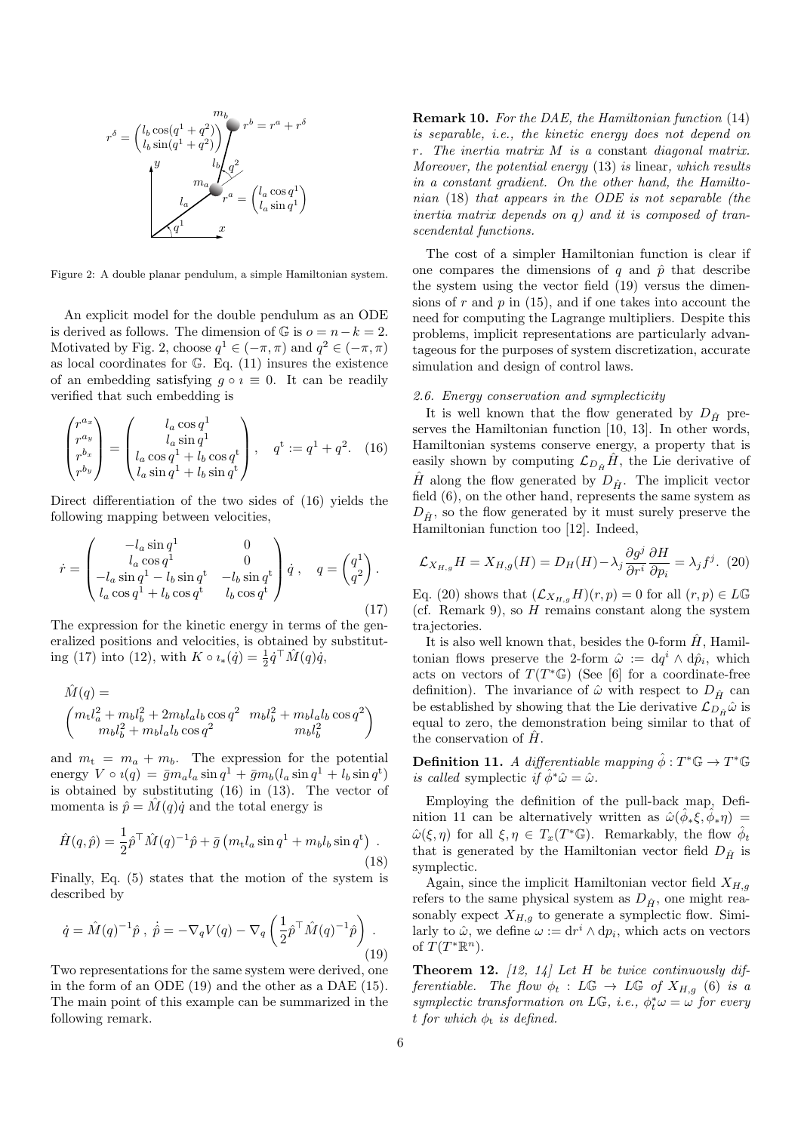

Figure 2: A double planar pendulum, a simple Hamiltonian system.

An explicit model for the double pendulum as an ODE is derived as follows. The dimension of  $\mathbb G$  is  $o = n - k = 2$ . Motivated by Fig. 2, choose  $q^1 \in (-\pi, \pi)$  and  $q^2 \in (-\pi, \pi)$ as local coordinates for G. Eq. (11) insures the existence of an embedding satisfying  $g \circ i \equiv 0$ . It can be readily verified that such embedding is

$$
\begin{pmatrix} r^{a_x} \\ r^{a_y} \\ r^{b_x} \\ r^{b_y} \end{pmatrix} = \begin{pmatrix} l_a \cos q^1 \\ l_a \sin q^1 \\ l_a \cos q^1 + l_b \cos q^t \\ l_a \sin q^1 + l_b \sin q^t \end{pmatrix}, \quad q^t := q^1 + q^2. \quad (16)
$$

Direct differentiation of the two sides of (16) yields the following mapping between velocities,

$$
\dot{r} = \begin{pmatrix} -l_a \sin q^1 & 0 \\ l_a \cos q^1 & 0 \\ -l_a \sin q^1 - l_b \sin q^t & -l_b \sin q^t \\ l_a \cos q^1 + l_b \cos q^t & l_b \cos q^t \end{pmatrix} \dot{q} , \quad q = \begin{pmatrix} q^1 \\ q^2 \end{pmatrix} .
$$
\n(17)

The expression for the kinetic energy in terms of the generalized positions and velocities, is obtained by substituting (17) into (12), with  $K \circ \imath_*(\dot{q}) = \frac{1}{2} \dot{q}^\top \hat{M}(q) \dot{q}$ ,

$$
\begin{split} \hat{M}(q) &= \\ \begin{pmatrix} m_{\rm t} l_a^2 + m_b l_b^2 + 2 m_b l_a l_b \cos q^2 & m_b l_b^2 + m_b l_a l_b \cos q^2 \\ m_b l_b^2 + m_b l_a l_b \cos q^2 & m_b l_b^2 \end{pmatrix} \end{split}
$$

and  $m_t = m_a + m_b$ . The expression for the potential energy  $V \circ i(q) = \bar{g} m_a l_a \sin q^1 + \bar{g} m_b (l_a \sin q^1 + l_b \sin q^t)$ is obtained by substituting (16) in (13). The vector of momenta is  $\hat{p} = \hat{M}(q)\hat{q}$  and the total energy is

$$
\hat{H}(q,\hat{p}) = \frac{1}{2}\hat{p}^\top \hat{M}(q)^{-1}\hat{p} + \bar{g}\left(m_t l_a \sin q^1 + m_b l_b \sin q^t\right) \tag{18}
$$

Finally, Eq. (5) states that the motion of the system is described by

$$
\dot{q} = \hat{M}(q)^{-1}\hat{p}, \ \dot{\hat{p}} = -\nabla_q V(q) - \nabla_q \left(\frac{1}{2}\hat{p}^\top \hat{M}(q)^{-1}\hat{p}\right).
$$
\n(19)

Two representations for the same system were derived, one in the form of an ODE (19) and the other as a DAE (15). The main point of this example can be summarized in the following remark.

Remark 10. For the DAE, the Hamiltonian function (14) is separable, i.e., the kinetic energy does not depend on r. The inertia matrix M is a constant diagonal matrix. Moreover, the potential energy (13) is linear, which results in a constant gradient. On the other hand, the Hamiltonian (18) that appears in the ODE is not separable (the inertia matrix depends on q) and it is composed of transcendental functions.

The cost of a simpler Hamiltonian function is clear if one compares the dimensions of q and  $\hat{p}$  that describe the system using the vector field (19) versus the dimensions of  $r$  and  $p$  in (15), and if one takes into account the need for computing the Lagrange multipliers. Despite this problems, implicit representations are particularly advantageous for the purposes of system discretization, accurate simulation and design of control laws.

## 2.6. Energy conservation and symplecticity

It is well known that the flow generated by  $D_{\hat{H}}$  preserves the Hamiltonian function [10, 13]. In other words, Hamiltonian systems conserve energy, a property that is easily shown by computing  $\mathcal{L}_{D_{\hat{H}}}H$ , the Lie derivative of  $\hat{H}$  along the flow generated by  $D_{\hat{H}}$ . The implicit vector field (6), on the other hand, represents the same system as  $D_{\hat{H}}$ , so the flow generated by it must surely preserve the Hamiltonian function too [12]. Indeed,

$$
\mathcal{L}_{X_{H,g}}H = X_{H,g}(H) = D_H(H) - \lambda_j \frac{\partial g^j}{\partial r^i} \frac{\partial H}{\partial p_i} = \lambda_j f^j. (20)
$$

Eq. (20) shows that  $(\mathcal{L}_{X_{H,g}}H)(r,p) = 0$  for all  $(r,p) \in L\mathbb{G}$ (cf. Remark 9), so  $H$  remains constant along the system trajectories.

It is also well known that, besides the 0-form  $\hat{H}$ , Hamiltonian flows preserve the 2-form  $\hat{\omega} := dq^i \wedge d\hat{p}_i$ , which acts on vectors of  $T(T^*\mathbb{G})$  (See [6] for a coordinate-free definition). The invariance of  $\hat{\omega}$  with respect to  $D_{\hat{H}}$  can be established by showing that the Lie derivative  $\mathcal{L}_{D,\hat{\mu}}\hat{\omega}$  is equal to zero, the demonstration being similar to that of the conservation of  $H$ .

**Definition 11.** A differentiable mapping  $\hat{\phi}: T^*\mathbb{G} \to T^*\mathbb{G}$ is called symplectic if  $\hat{\phi}^* \hat{\omega} = \hat{\omega}$ .

Employing the definition of the pull-back map, Definition 11 can be alternatively written as  $\hat{\omega}(\hat{\phi}_*\xi, \hat{\phi}_*\eta) =$  $\hat{\omega}(\xi, \eta)$  for all  $\xi, \eta \in T_x(T^*\mathbb{G})$ . Remarkably, the flow  $\hat{\phi}_t$ that is generated by the Hamiltonian vector field  $D_{\hat{H}}$  is symplectic.

Again, since the implicit Hamiltonian vector field  $X_{H,g}$ refers to the same physical system as  $D_{\hat{H}}$ , one might reasonably expect  $X_{H,g}$  to generate a symplectic flow. Similarly to  $\hat{\omega}$ , we define  $\omega := dr^i \wedge dp_i$ , which acts on vectors of  $T(T^*\mathbb{R}^n)$ .

**Theorem 12.** [12, 14] Let H be twice continuously differentiable. The flow  $\phi_t : L\mathbb{G} \to L\mathbb{G}$  of  $X_{H,q}$  (6) is a symplectic transformation on LG, i.e.,  $\phi_t^* \omega = \omega$  for every t for which  $\phi_t$  is defined.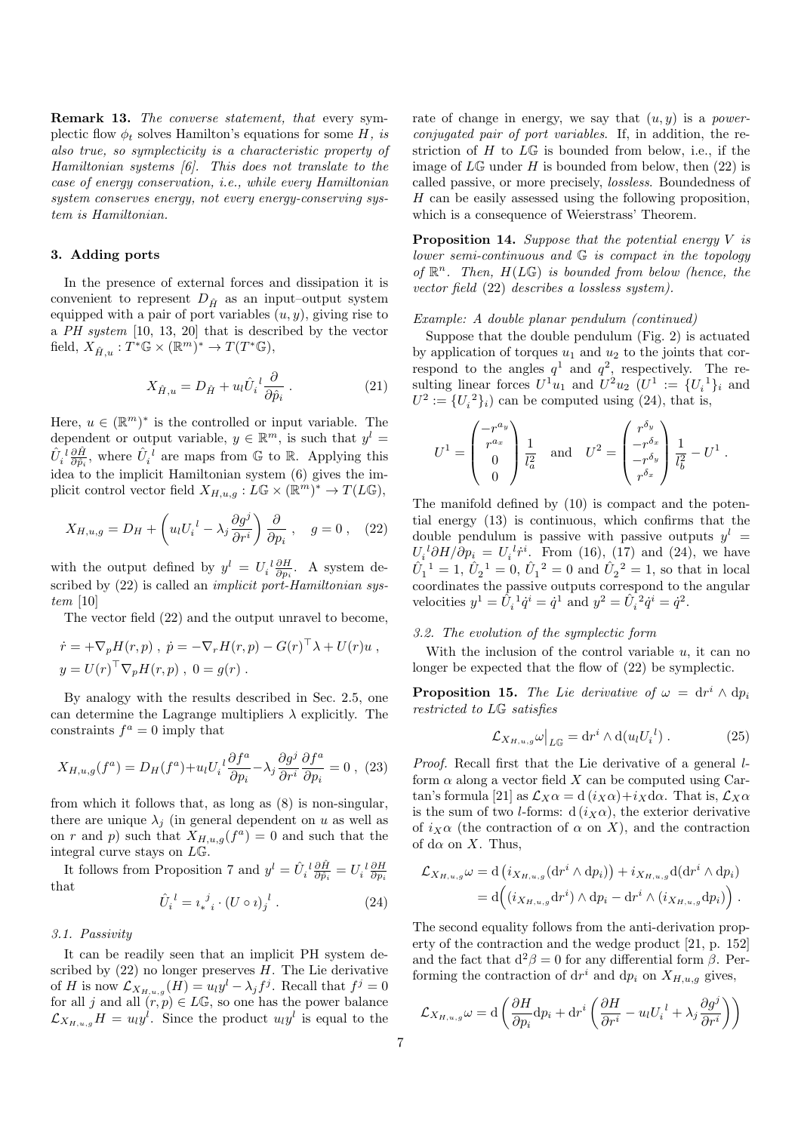**Remark 13.** The converse statement, that every symplectic flow  $\phi_t$  solves Hamilton's equations for some H, is also true, so symplecticity is a characteristic property of Hamiltonian systems [6]. This does not translate to the case of energy conservation, i.e., while every Hamiltonian system conserves energy, not every energy-conserving system is Hamiltonian.

## 3. Adding ports

In the presence of external forces and dissipation it is convenient to represent  $D_{\hat{H}}$  as an input–output system equipped with a pair of port variables  $(u, y)$ , giving rise to a PH system [10, 13, 20] that is described by the vector field,  $X_{\hat{H},u} : T^* \mathbb{G} \times (\mathbb{R}^m)^* \to T(T^* \mathbb{G}),$ 

$$
X_{\hat{H},u} = D_{\hat{H}} + u_l \hat{U}_i^{\ \ l} \frac{\partial}{\partial \hat{p}_i} \,. \tag{21}
$$

Here,  $u \in (\mathbb{R}^m)^*$  is the controlled or input variable. The dependent or output variable,  $y \in \mathbb{R}^m$ , is such that  $y^l =$  $\hat{U}_i^{\ l}\frac{\partial \hat{H}}{\partial \hat{p}_i}$ , where  $\hat{U}_i^{\ l}$  are maps from  $\mathbb G$  to  $\mathbb R$ . Applying this idea to the implicit Hamiltonian system (6) gives the implicit control vector field  $X_{H,u,g}: L\mathbb{G} \times (\mathbb{R}^m)^* \to T(L\mathbb{G}),$ 

$$
X_{H,u,g} = D_H + \left(u_l U_i^l - \lambda_j \frac{\partial g^j}{\partial r^i}\right) \frac{\partial}{\partial p_i}, \quad g = 0, \quad (22)
$$

with the output defined by  $y^l = U_i^l \frac{\partial H}{\partial p_i}$ . A system described by  $(22)$  is called an *implicit port-Hamiltonian sys*tem [10]

The vector field (22) and the output unravel to become,

$$
\dot{r} = +\nabla_p H(r, p) , \ \dot{p} = -\nabla_r H(r, p) - G(r)^\top \lambda + U(r)u ,
$$
  

$$
y = U(r)^\top \nabla_p H(r, p) , \ 0 = g(r) .
$$

By analogy with the results described in Sec. 2.5, one can determine the Lagrange multipliers  $\lambda$  explicitly. The constraints  $f^a = 0$  imply that

$$
X_{H,u,g}(f^a) = D_H(f^a) + u_l U_i^l \frac{\partial f^a}{\partial p_i} - \lambda_j \frac{\partial g^j}{\partial r^i} \frac{\partial f^a}{\partial p_i} = 0 , \tag{23}
$$

from which it follows that, as long as (8) is non-singular, there are unique  $\lambda_j$  (in general dependent on u as well as on r and p) such that  $X_{H,u,g}(f^a) = 0$  and such that the integral curve stays on LG.

It follows from Proposition 7 and  $y^l = \hat{U}_i^l \frac{\partial \hat{H}}{\partial \hat{p}_i} = U_i^l \frac{\partial H}{\partial p_i}$ that

$$
\hat{U}_i^{\ l} = i_*^{\ j} \cdot (U \circ i)_j^{\ l} \ . \tag{24}
$$

# 3.1. Passivity

It can be readily seen that an implicit PH system described by  $(22)$  no longer preserves  $H$ . The Lie derivative of H is now  $\mathcal{L}_{X_{H,u,g}}(H) = u_l y^l - \lambda_j f^j$ . Recall that  $f^j = 0$ for all j and all  $(r, p) \in L\mathbb{G}$ , so one has the power balance  $\mathcal{L}_{X_{H,u,g}}H = u_l y^l$ . Since the product  $u_l y^l$  is equal to the

rate of change in energy, we say that  $(u, y)$  is a *power*conjugated pair of port variables. If, in addition, the restriction of  $H$  to  $L\mathbb{G}$  is bounded from below, i.e., if the image of  $L\mathbb{G}$  under H is bounded from below, then (22) is called passive, or more precisely, lossless. Boundedness of  $H$  can be easily assessed using the following proposition, which is a consequence of Weierstrass' Theorem.

**Proposition 14.** Suppose that the potential energy  $V$  is lower semi-continuous and G is compact in the topology of  $\mathbb{R}^n$ . Then,  $H(L\mathbb{G})$  is bounded from below (hence, the vector field (22) describes a lossless system).

#### Example: A double planar pendulum (continued)

Suppose that the double pendulum (Fig. 2) is actuated by application of torques  $u_1$  and  $u_2$  to the joints that correspond to the angles  $q^1$  and  $q^2$ , respectively. The resulting linear forces  $U^1u_1$  and  $U^2u_2$   $(U^1 := \{U_i^1\}_i)$  and  $U^2 := \{U_i^2\}_i$  can be computed using (24), that is,

$$
U^{1} = \begin{pmatrix} -r^{a_y} \\ r^{a_x} \\ 0 \\ 0 \end{pmatrix} \frac{1}{l_a^2} \quad \text{and} \quad U^{2} = \begin{pmatrix} r^{\delta_y} \\ -r^{\delta_x} \\ -r^{\delta_y} \\ r^{\delta_x} \end{pmatrix} \frac{1}{l_b^2} - U^{1}.
$$

The manifold defined by (10) is compact and the potential energy (13) is continuous, which confirms that the double pendulum is passive with passive outputs  $y^l =$  $U_i^{\ d} \partial H/\partial p_i = U_i^{\ d} \dot{r}^i$ . From (16), (17) and (24), we have  $\hat{U}_1^1 = 1, \hat{U}_2^1 = 0, \hat{U}_1^2 = 0$  and  $\hat{U}_2^2 = 1$ , so that in local coordinates the passive outputs correspond to the angular velocities  $y^1 = \hat{U}_i^1 \dot{q}^i = \dot{q}^1$  and  $y^2 = \hat{U}_i^2 \dot{q}^i = \dot{q}^2$ .

# 3.2. The evolution of the symplectic form

With the inclusion of the control variable  $u$ , it can no longer be expected that the flow of (22) be symplectic.

**Proposition 15.** The Lie derivative of  $\omega = dr^i \wedge dp_i$ restricted to LG satisfies

$$
\mathcal{L}_{X_{H,u,g}}\omega\big|_{L\mathbb{G}} = \mathrm{d}r^i \wedge \mathrm{d}(u_l U_i^l) \,. \tag{25}
$$

Proof. Recall first that the Lie derivative of a general lform  $\alpha$  along a vector field X can be computed using Cartan's formula [21] as  $\mathcal{L}_X \alpha = d(i_X \alpha) + i_X d\alpha$ . That is,  $\mathcal{L}_X \alpha$ is the sum of two *l*-forms:  $d(i_X \alpha)$ , the exterior derivative of  $i_X\alpha$  (the contraction of  $\alpha$  on X), and the contraction of d $\alpha$  on X. Thus,

$$
\mathcal{L}_{X_{H,u,g}}\omega = d\left(i_{X_{H,u,g}}(\mathrm{d}r^i \wedge \mathrm{d}p_i)\right) + i_{X_{H,u,g}}d(\mathrm{d}r^i \wedge \mathrm{d}p_i)
$$
  
= 
$$
d\left((i_{X_{H,u,g}}\mathrm{d}r^i) \wedge \mathrm{d}p_i - \mathrm{d}r^i \wedge (i_{X_{H,u,g}}\mathrm{d}p_i)\right).
$$

The second equality follows from the anti-derivation property of the contraction and the wedge product [21, p. 152] and the fact that  $d^2\beta = 0$  for any differential form  $\beta$ . Performing the contraction of  $dr^i$  and  $dp_i$  on  $X_{H,u,g}$  gives,

$$
\mathcal{L}_{X_{H,u,g}}\omega = \mathrm{d}\left(\frac{\partial H}{\partial p_i}\mathrm{d}p_i + \mathrm{d}r^i\left(\frac{\partial H}{\partial r^i} - u_lU_i^{\;l} + \lambda_j\frac{\partial g^j}{\partial r^i}\right)\right)
$$